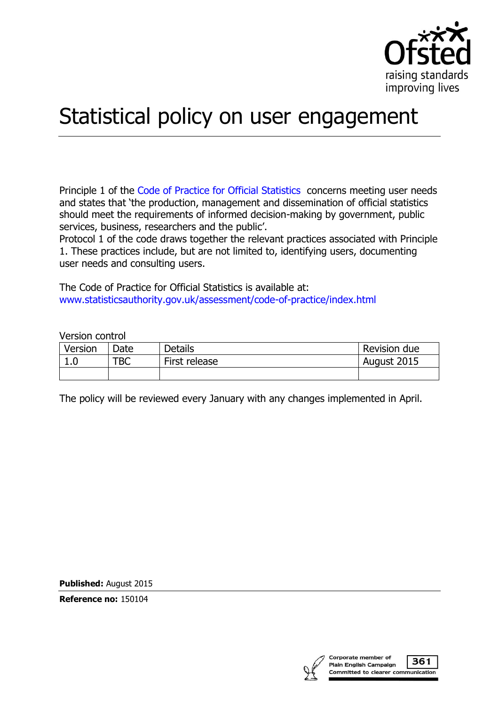

# Statistical policy on user engagement

Principle 1 of the [Code of Practice for Official Statistics](http://www.statisticsauthority.gov.uk/assessment/code-of-practice/) concerns meeting user needs and states that 'the production, management and dissemination of official statistics should meet the requirements of informed decision-making by government, public services, business, researchers and the public'.

Protocol 1 of the code draws together the relevant practices associated with Principle 1. These practices include, but are not limited to, identifying users, documenting user needs and consulting users.

The Code of Practice for Official Statistics is available at: [www.statisticsauthority.gov.uk/assessment/code-of-practice/index.html](http://www.statisticsauthority.gov.uk/assessment/code-of-practice/index.html)

Version control

| Version | Date | <b>Details</b> | Revision due |
|---------|------|----------------|--------------|
| T.N     | TBC  | First release  | August 2015  |
|         |      |                |              |

The policy will be reviewed every January with any changes implemented in April.

**Published:** August 2015

**Reference no:** 150104

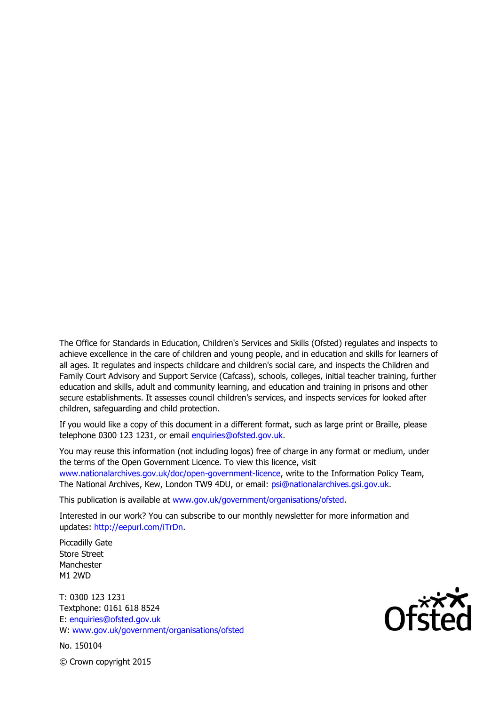The Office for Standards in Education, Children's Services and Skills (Ofsted) regulates and inspects to achieve excellence in the care of children and young people, and in education and skills for learners of all ages. It regulates and inspects childcare and children's social care, and inspects the Children and Family Court Advisory and Support Service (Cafcass), schools, colleges, initial teacher training, further education and skills, adult and community learning, and education and training in prisons and other secure establishments. It assesses council children's services, and inspects services for looked after children, safeguarding and child protection.

If you would like a copy of this document in a different format, such as large print or Braille, please telephone 0300 123 1231, or email enquiries@ofsted.gov.uk.

You may reuse this information (not including logos) free of charge in any format or medium, under the terms of the Open Government Licence. To view this licence, visit www.nationalarchives.gov.uk/doc/open-government-licence, write to the Information Policy Team, The National Archives, Kew, London TW9 4DU, or email: psi@nationalarchives.gsi.gov.uk.

This publication is available at www.gov.uk/government/organisations/ofsted.

Interested in our work? You can subscribe to our monthly newsletter for more information and updates: http://eepurl.com/iTrDn.

Piccadilly Gate Store Street Manchester M1 2WD

T: 0300 123 1231 Textphone: 0161 618 8524 E: enquiries@ofsted.gov.uk W: www.gov.uk/government/organisations/ofsted

No. 150104



© Crown copyright 2015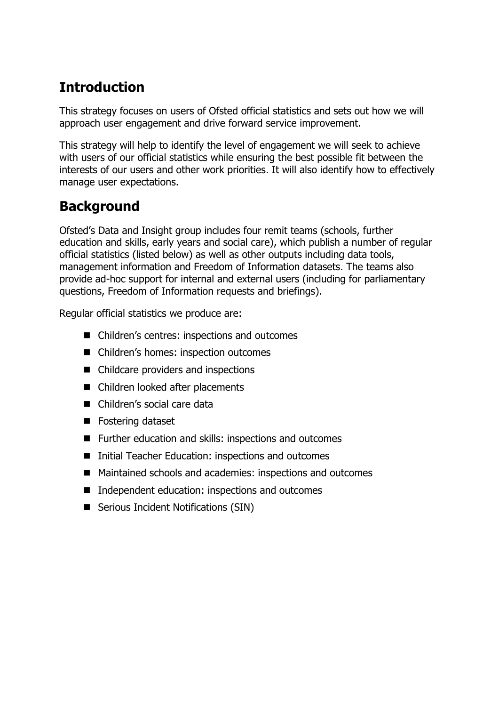# **Introduction**

This strategy focuses on users of Ofsted official statistics and sets out how we will approach user engagement and drive forward service improvement.

This strategy will help to identify the level of engagement we will seek to achieve with users of our official statistics while ensuring the best possible fit between the interests of our users and other work priorities. It will also identify how to effectively manage user expectations.

## **Background**

Ofsted's Data and Insight group includes four remit teams (schools, further education and skills, early years and social care), which publish a number of regular official statistics (listed below) as well as other outputs including data tools, management information and Freedom of Information datasets. The teams also provide ad-hoc support for internal and external users (including for parliamentary questions, Freedom of Information requests and briefings).

Regular official statistics we produce are:

- Children's centres: inspections and outcomes
- Children's homes: inspection outcomes
- Childcare providers and inspections
- Children looked after placements
- Children's social care data
- Fostering dataset
- Further education and skills: inspections and outcomes
- Initial Teacher Education: inspections and outcomes
- Maintained schools and academies: inspections and outcomes
- Independent education: inspections and outcomes
- Serious Incident Notifications (SIN)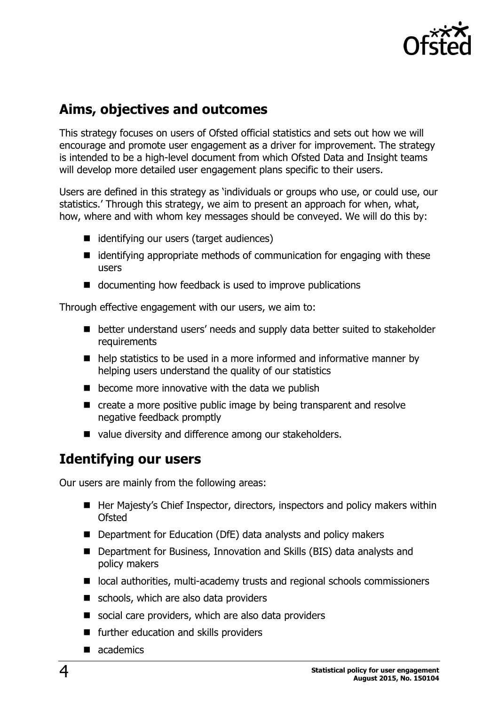

#### **Aims, objectives and outcomes**

This strategy focuses on users of Ofsted official statistics and sets out how we will encourage and promote user engagement as a driver for improvement. The strategy is intended to be a high-level document from which Ofsted Data and Insight teams will develop more detailed user engagement plans specific to their users.

Users are defined in this strategy as 'individuals or groups who use, or could use, our statistics.' Through this strategy, we aim to present an approach for when, what, how, where and with whom key messages should be conveyed. We will do this by:

- identifying our users (target audiences)
- $\blacksquare$  identifying appropriate methods of communication for engaging with these users
- $\blacksquare$  documenting how feedback is used to improve publications

Through effective engagement with our users, we aim to:

- better understand users' needs and supply data better suited to stakeholder requirements
- $\blacksquare$  help statistics to be used in a more informed and informative manner by helping users understand the quality of our statistics
- $\blacksquare$  become more innovative with the data we publish
- create a more positive public image by being transparent and resolve negative feedback promptly
- value diversity and difference among our stakeholders.

### **Identifying our users**

Our users are mainly from the following areas:

- Her Majesty's Chief Inspector, directors, inspectors and policy makers within **Ofsted**
- Department for Education (DfE) data analysts and policy makers
- Department for Business, Innovation and Skills (BIS) data analysts and policy makers
- local authorities, multi-academy trusts and regional schools commissioners
- schools, which are also data providers
- social care providers, which are also data providers
- **Further education and skills providers**
- academics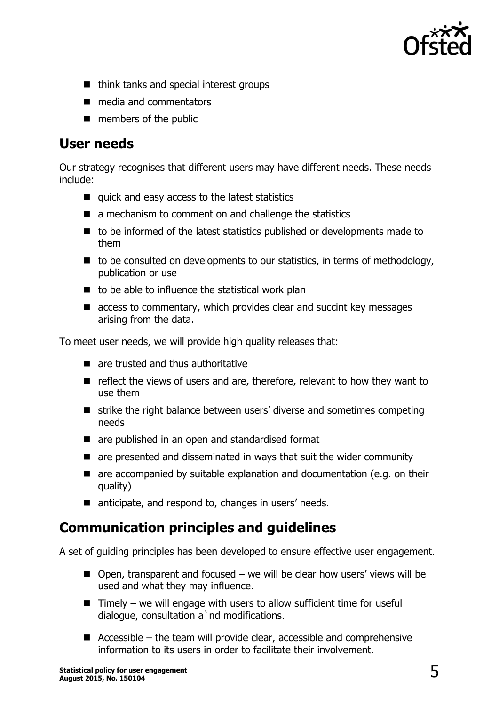

- think tanks and special interest groups
- media and commentators
- **members of the public**

#### **User needs**

Our strategy recognises that different users may have different needs. These needs include:

- quick and easy access to the latest statistics
- $\blacksquare$  a mechanism to comment on and challenge the statistics
- $\blacksquare$  to be informed of the latest statistics published or developments made to them
- $\blacksquare$  to be consulted on developments to our statistics, in terms of methodology, publication or use
- $\blacksquare$  to be able to influence the statistical work plan
- $\blacksquare$  access to commentary, which provides clear and succint key messages arising from the data.

To meet user needs, we will provide high quality releases that:

- **E** are trusted and thus authoritative
- $\blacksquare$  reflect the views of users and are, therefore, relevant to how they want to use them
- strike the right balance between users' diverse and sometimes competing needs
- are published in an open and standardised format
- $\blacksquare$  are presented and disseminated in ways that suit the wider community
- $\blacksquare$  are accompanied by suitable explanation and documentation (e.g. on their quality)
- anticipate, and respond to, changes in users' needs.

### **Communication principles and guidelines**

A set of guiding principles has been developed to ensure effective user engagement.

- $\blacksquare$  Open, transparent and focused we will be clear how users' views will be used and what they may influence.
- $\blacksquare$  Timely we will engage with users to allow sufficient time for useful dialogue, consultation a`nd modifications.
- Accessible the team will provide clear, accessible and comprehensive information to its users in order to facilitate their involvement.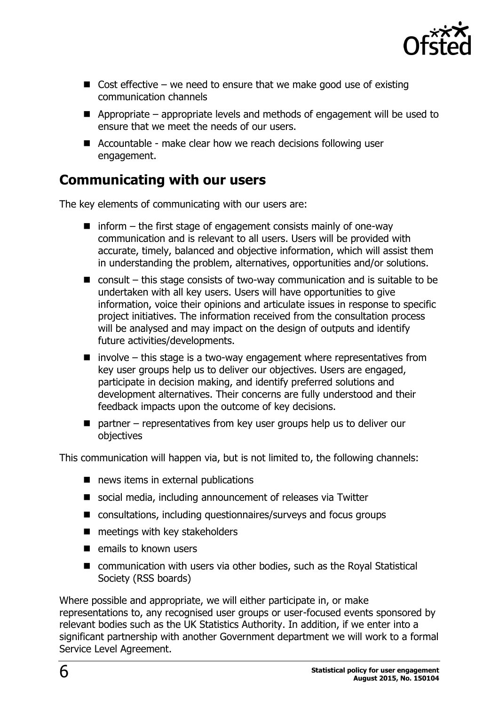

- $\Box$  Cost effective we need to ensure that we make good use of existing communication channels
- $\blacksquare$  Appropriate appropriate levels and methods of engagement will be used to ensure that we meet the needs of our users.
- Accountable make clear how we reach decisions following user engagement.

#### **Communicating with our users**

The key elements of communicating with our users are:

- $\blacksquare$  inform the first stage of engagement consists mainly of one-way communication and is relevant to all users. Users will be provided with accurate, timely, balanced and objective information, which will assist them in understanding the problem, alternatives, opportunities and/or solutions.
- $\blacksquare$  consult this stage consists of two-way communication and is suitable to be undertaken with all key users. Users will have opportunities to give information, voice their opinions and articulate issues in response to specific project initiatives. The information received from the consultation process will be analysed and may impact on the design of outputs and identify future activities/developments.
- $\blacksquare$  involve this stage is a two-way engagement where representatives from key user groups help us to deliver our objectives. Users are engaged, participate in decision making, and identify preferred solutions and development alternatives. Their concerns are fully understood and their feedback impacts upon the outcome of key decisions.
- $\blacksquare$  partner representatives from key user groups help us to deliver our objectives

This communication will happen via, but is not limited to, the following channels:

- news items in external publications
- social media, including announcement of releases via Twitter
- consultations, including questionnaires/surveys and focus groups
- $\blacksquare$  meetings with key stakeholders
- $\blacksquare$  emails to known users
- communication with users via other bodies, such as the Royal Statistical Society (RSS boards)

Where possible and appropriate, we will either participate in, or make representations to, any recognised user groups or user-focused events sponsored by relevant bodies such as the UK Statistics Authority. In addition, if we enter into a significant partnership with another Government department we will work to a formal Service Level Agreement.